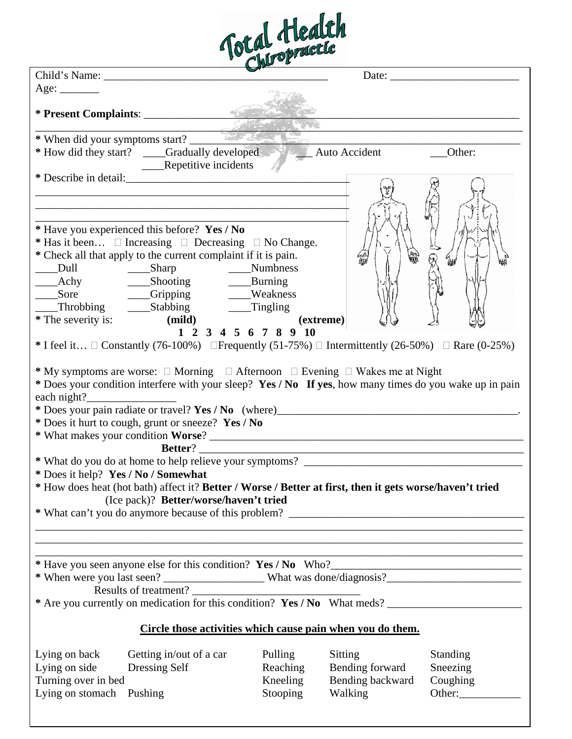|                                                                                                                                                                                                                                                                                                              |                                        | Total Health         |                                                            |        |
|--------------------------------------------------------------------------------------------------------------------------------------------------------------------------------------------------------------------------------------------------------------------------------------------------------------|----------------------------------------|----------------------|------------------------------------------------------------|--------|
| Child's Name:                                                                                                                                                                                                                                                                                                |                                        |                      |                                                            |        |
| Age: $\_\_\_\_\_\_\_\_\_\_\_\_\_\_\$                                                                                                                                                                                                                                                                         |                                        |                      |                                                            |        |
|                                                                                                                                                                                                                                                                                                              |                                        |                      |                                                            |        |
|                                                                                                                                                                                                                                                                                                              |                                        |                      |                                                            |        |
| * When did your symptoms start?                                                                                                                                                                                                                                                                              |                                        |                      |                                                            |        |
| * How did they start? ____Gradually developed Auto Accident                                                                                                                                                                                                                                                  | ____Repetitive incidents               |                      |                                                            | Other: |
|                                                                                                                                                                                                                                                                                                              |                                        |                      |                                                            |        |
| * Have you experienced this before? Yes / No<br>* Has it been $\Box$ Increasing $\Box$ Decreasing $\Box$ No Change.<br>* Check all that apply to the current complaint if it is pain.<br>Dull Sharp Numbness<br>Achy Shooting Burning<br>Company Company Shooting<br>____Sore _______Gripping ______Weakness |                                        |                      |                                                            |        |
| * The severity is: (mild)                                                                                                                                                                                                                                                                                    |                                        | 1 2 3 4 5 6 7 8 9 10 | (extreme)                                                  |        |
| * I feel it $\Box$ Constantly (76-100%) $\Box$ Frequently (51-75%) $\Box$ Intermittently (26-50%) $\Box$ Rare (0-25%)<br>* My symptoms are worse: $\Box$ Morning $\Box$ Afternoon $\Box$ Evening $\Box$ Wakes me at Night                                                                                    |                                        |                      |                                                            |        |
| * Does your condition interfere with your sleep? Yes / No If yes, how many times do you wake up in pain<br>each night? $\frac{1}{\sqrt{2}}$<br>* Does it hurt to cough, grunt or sneeze? Yes / No                                                                                                            |                                        |                      |                                                            |        |
|                                                                                                                                                                                                                                                                                                              |                                        |                      |                                                            |        |
| * Does it help? Yes / No / Somewhat<br>* How does heat (hot bath) affect it? Better / Worse / Better at first, then it gets worse/haven't tried                                                                                                                                                              | (Ice pack)? Better/worse/haven't tried |                      |                                                            |        |
|                                                                                                                                                                                                                                                                                                              |                                        |                      |                                                            |        |
|                                                                                                                                                                                                                                                                                                              |                                        |                      |                                                            |        |
|                                                                                                                                                                                                                                                                                                              | Results of treatment?                  |                      |                                                            |        |
|                                                                                                                                                                                                                                                                                                              |                                        |                      | Circle those activities which cause pain when you do them. |        |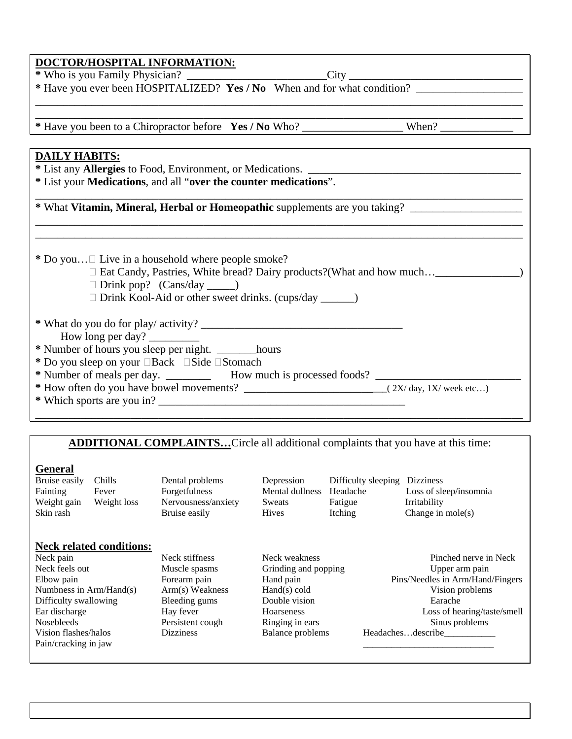| * Have you been to a Chiropractor before Yes / No Who? _________________________ When? ___________________     | the control of the control of the control of the control of the control of                                             |  |  |
|----------------------------------------------------------------------------------------------------------------|------------------------------------------------------------------------------------------------------------------------|--|--|
|                                                                                                                |                                                                                                                        |  |  |
| <b>DAILY HABITS:</b>                                                                                           |                                                                                                                        |  |  |
| * List any <b>Allergies</b> to Food, Environment, or Medications.                                              |                                                                                                                        |  |  |
| * List your Medications, and all "over the counter medications".                                               |                                                                                                                        |  |  |
| * What Vitamin, Mineral, Herbal or Homeopathic supplements are you taking? ___________________________________ |                                                                                                                        |  |  |
| * Do you $\Box$ Live in a household where people smoke?                                                        | <u> 1989 - An Dùbhlachd ann an Dùbhlachd ann an Dùbhlachd ann an Dùbhlachd ann an Dùbhlachd ann an Dùbhlachd ann a</u> |  |  |
| $\Box$ Drink pop? (Cans/day _______)<br>□ Drink Kool-Aid or other sweet drinks. (cups/day ________)            |                                                                                                                        |  |  |
| How long per day?<br>* Number of hours you sleep per night. ________hours                                      |                                                                                                                        |  |  |
| * Do you sleep on your <b>Back</b> Side Stomach                                                                |                                                                                                                        |  |  |
|                                                                                                                |                                                                                                                        |  |  |

**\*** Who is you Family Physician? \_\_\_\_\_\_\_\_\_\_\_\_\_\_\_\_\_\_\_\_\_\_\_\_\_City \_\_\_\_\_\_\_\_\_\_\_\_\_\_\_\_\_\_\_\_\_\_\_\_\_\_\_\_\_\_\_

**DOCTOR/HOSPITAL INFORMATION:**

## **ADDITIONAL COMPLAINTS…**Circle all additional complaints that you have at this time:

### **General**

| Bruise easily           | Chills                          | Dental problems     | Depression              | Difficulty sleeping | <b>Dizziness</b>                 |
|-------------------------|---------------------------------|---------------------|-------------------------|---------------------|----------------------------------|
| Fainting                | Fever                           | Forgetfulness       | Mental dullness         | Headache            | Loss of sleep/insomnia           |
| Weight gain             | Weight loss                     | Nervousness/anxiety | <b>Sweats</b>           | Fatigue             | Irritability                     |
| Skin rash               |                                 | Bruise easily       | <b>Hives</b>            | Itching             | Change in $mole(s)$              |
|                         |                                 |                     |                         |                     |                                  |
|                         |                                 |                     |                         |                     |                                  |
|                         | <b>Neck related conditions:</b> |                     |                         |                     |                                  |
| Neck pain               |                                 | Neck stiffness      | Neck weakness           |                     | Pinched nerve in Neck            |
| Neck feels out          |                                 | Muscle spasms       | Grinding and popping    |                     | Upper arm pain                   |
| Elbow pain              |                                 | Forearm pain        | Hand pain               |                     | Pins/Needles in Arm/Hand/Fingers |
| Numbness in Arm/Hand(s) |                                 | Arm(s) Weakness     | Hand(s) cold            |                     | Vision problems                  |
| Difficulty swallowing   |                                 | Bleeding gums       | Double vision           |                     | Earache                          |
| Ear discharge           |                                 | Hay fever           | Hoarseness              |                     | Loss of hearing/taste/smell      |
| <b>Nosebleeds</b>       |                                 | Persistent cough    | Ringing in ears         |                     | Sinus problems                   |
| Vision flashes/halos    |                                 | <b>Dizziness</b>    | <b>Balance</b> problems |                     | Headachesdescribe                |
| Pain/cracking in jaw    |                                 |                     |                         |                     |                                  |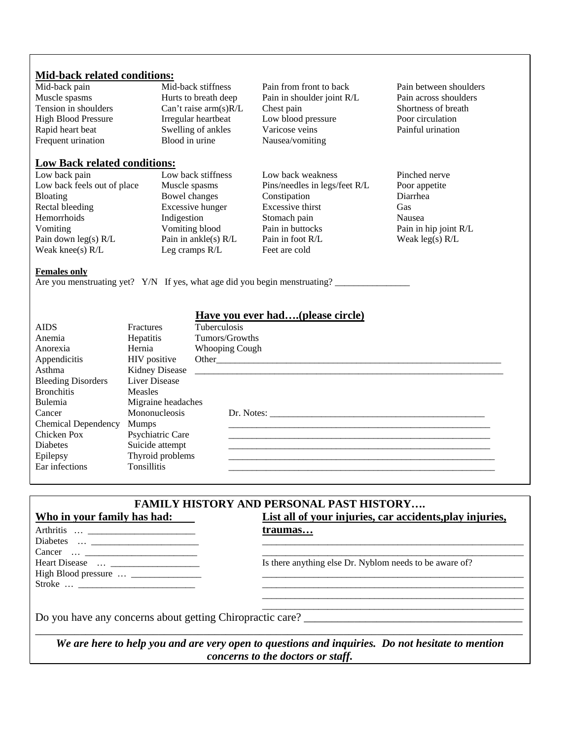#### **Mid-back related conditions:**

| Mid-back pain                                                                                     | Mid-back stiffness      | Pain from front to back       | Pain between shoulders |
|---------------------------------------------------------------------------------------------------|-------------------------|-------------------------------|------------------------|
| Muscle spasms                                                                                     | Hurts to breath deep    | Pain in shoulder joint R/L    | Pain across shoulders  |
| Tension in shoulders                                                                              | Can't raise $arm(s)R/L$ | Chest pain                    | Shortness of breath    |
| <b>High Blood Pressure</b>                                                                        | Irregular heartbeat     | Low blood pressure            | Poor circulation       |
| Rapid heart beat                                                                                  | Swelling of ankles      | Varicose veins                | Painful urination      |
| Frequent urination                                                                                | Blood in urine          | Nausea/vomiting               |                        |
| <b>Low Back related conditions:</b>                                                               |                         |                               |                        |
| Low back pain                                                                                     | Low back stiffness      | Low back weakness             | Pinched nerve          |
| Low back feels out of place                                                                       | Muscle spasms           | Pins/needles in legs/feet R/L | Poor appetite          |
| <b>Bloating</b>                                                                                   | Bowel changes           | Constipation                  | Diarrhea               |
| Rectal bleeding                                                                                   | Excessive hunger        | Excessive thirst              | Gas                    |
| Hemorrhoids                                                                                       | Indigestion             | Stomach pain                  | Nausea                 |
| Vomiting                                                                                          | Vomiting blood          | Pain in buttocks              | Pain in hip joint R/L  |
| Pain down $leg(s) R/L$                                                                            | Pain in ankle(s) $R/L$  | Pain in foot R/L              | Weak $leg(s) R/L$      |
| Weak knee $(s)$ R/L                                                                               | Leg cramps R/L          | Feet are cold                 |                        |
| <b>Females only</b><br>Are you menstruating yet? Y/N If yes, what age did you begin menstruating? |                         |                               |                        |

#### AIDS Fractures Tuberculosis<br>Anemia Hepatitis Tumors/Grow **Have you ever had….(please circle)** Anemia Hepatitis Tumors/Growths<br>Anorexia Hernia Whooping Cough Hernia Whooping Cough<br>HIV positive Other Appendicitis HIV positive Other\_\_\_\_\_\_\_\_\_\_\_\_\_\_\_\_\_\_\_\_\_\_\_\_\_\_\_\_\_\_\_\_\_\_\_\_\_\_\_\_\_\_\_\_\_\_\_\_\_\_\_\_\_\_\_\_\_\_\_\_\_ Asthma Kidney Disease \_\_\_\_\_\_\_\_\_\_\_\_\_\_\_\_\_\_\_\_\_\_\_\_\_\_\_\_\_\_\_\_\_\_\_\_\_\_\_\_\_\_\_\_\_\_\_\_\_\_\_\_\_\_\_\_\_\_\_\_\_\_\_\_\_\_ Bleeding Disorders Bronchitis Measles<br>
Bulemia Migraine Migraine headaches<br>Mononucleosis Cancer Mononucleosis Dr. Notes: \_\_\_\_\_\_\_\_\_\_\_\_\_\_\_\_\_\_\_\_\_\_\_\_\_\_\_\_\_\_\_\_\_\_\_\_\_\_\_\_\_\_\_\_\_\_ Chemical Dependency Mumps<br>
Chicken Pox Psychiatric Care Chicken Pox Psychiatric Care \_\_\_\_\_\_\_\_\_\_\_\_\_\_\_\_\_\_\_\_\_\_\_\_\_\_\_\_\_\_\_\_\_\_\_\_\_\_\_\_\_\_\_\_\_\_\_\_\_\_\_\_\_\_\_\_ Epilepsy Thyroid problems \_\_\_\_\_\_\_\_\_\_\_\_\_\_\_\_\_\_\_\_\_\_\_\_\_\_\_\_\_\_\_\_\_\_\_\_\_\_\_\_\_\_\_\_\_\_\_\_\_\_\_\_\_\_\_\_\_ Ear infections Tonsillitis Tonsillitis Tonsillitis Tonsillitis Tonsillitis Tonsillitis Tonsillitis Tonsillitis

| traumas                                                   |
|-----------------------------------------------------------|
|                                                           |
|                                                           |
| Is there anything else Dr. Nyblom needs to be aware of?   |
|                                                           |
|                                                           |
|                                                           |
| Do you have any concerns about getting Chiropractic care? |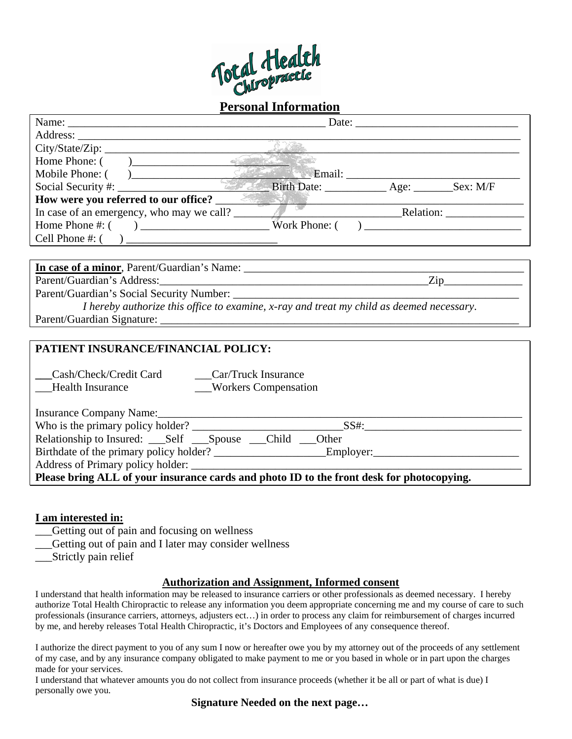

|                 | Name:                                     |                                                     |        |           |
|-----------------|-------------------------------------------|-----------------------------------------------------|--------|-----------|
|                 |                                           |                                                     |        |           |
|                 |                                           |                                                     |        |           |
| Home Phone: (   | $\overline{\phantom{a}}$                  |                                                     |        |           |
|                 | Mobile Phone: ()                          |                                                     | Email: |           |
|                 |                                           | Birth Date: ______________ Age: __________ Sex: M/F |        |           |
|                 | How were you referred to our office?      |                                                     |        |           |
|                 | In case of an emergency, who may we call? |                                                     |        | Relation: |
| Home Phone #: ( |                                           | $\sqrt{a}$ Work Phone: (                            |        |           |
|                 |                                           |                                                     |        |           |
|                 |                                           |                                                     |        |           |

| In case of a minor, Parent/Guardian's Name: |                                                                                          |
|---------------------------------------------|------------------------------------------------------------------------------------------|
| Parent/Guardian's Address:                  | Zin                                                                                      |
| Parent/Guardian's Social Security Number:   |                                                                                          |
|                                             | I hereby authorize this office to examine, x-ray and treat my child as deemed necessary. |
| Parent/Guardian Signature:                  |                                                                                          |

#### **PATIENT INSURANCE/FINANCIAL POLICY:**

**\_\_\_**Cash/Check/Credit Card \_\_\_Car/Truck Insurance

Health Insurance \_\_\_\_Workers Compensation

| Insurance Company Name:                                                                   |      |  |  |
|-------------------------------------------------------------------------------------------|------|--|--|
| Who is the primary policy holder?                                                         | SS#: |  |  |
|                                                                                           |      |  |  |
|                                                                                           |      |  |  |
| Address of Primary policy holder:                                                         |      |  |  |
| Please bring ALL of your insurance cards and photo ID to the front desk for photocopying. |      |  |  |

#### **I am interested in:**

- \_\_\_Getting out of pain and focusing on wellness
- Getting out of pain and I later may consider wellness
- \_\_\_Strictly pain relief

#### **Authorization and Assignment, Informed consent**

I understand that health information may be released to insurance carriers or other professionals as deemed necessary. I hereby authorize Total Health Chiropractic to release any information you deem appropriate concerning me and my course of care to such professionals (insurance carriers, attorneys, adjusters ect…) in order to process any claim for reimbursement of charges incurred by me, and hereby releases Total Health Chiropractic, it's Doctors and Employees of any consequence thereof.

I authorize the direct payment to you of any sum I now or hereafter owe you by my attorney out of the proceeds of any settlement of my case, and by any insurance company obligated to make payment to me or you based in whole or in part upon the charges made for your services.

I understand that whatever amounts you do not collect from insurance proceeds (whether it be all or part of what is due) I personally owe you.

**Signature Needed on the next page…**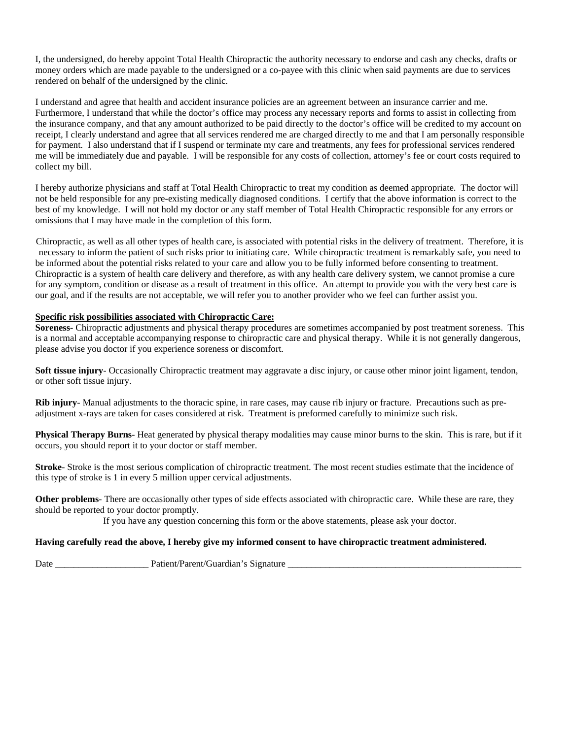I, the undersigned, do hereby appoint Total Health Chiropractic the authority necessary to endorse and cash any checks, drafts or money orders which are made payable to the undersigned or a co-payee with this clinic when said payments are due to services rendered on behalf of the undersigned by the clinic.

I understand and agree that health and accident insurance policies are an agreement between an insurance carrier and me. Furthermore, I understand that while the doctor's office may process any necessary reports and forms to assist in collecting from the insurance company, and that any amount authorized to be paid directly to the doctor's office will be credited to my account on receipt, I clearly understand and agree that all services rendered me are charged directly to me and that I am personally responsible for payment. I also understand that if I suspend or terminate my care and treatments, any fees for professional services rendered me will be immediately due and payable. I will be responsible for any costs of collection, attorney's fee or court costs required to collect my bill.

I hereby authorize physicians and staff at Total Health Chiropractic to treat my condition as deemed appropriate. The doctor will not be held responsible for any pre-existing medically diagnosed conditions. I certify that the above information is correct to the best of my knowledge. I will not hold my doctor or any staff member of Total Health Chiropractic responsible for any errors or omissions that I may have made in the completion of this form.

Chiropractic, as well as all other types of health care, is associated with potential risks in the delivery of treatment. Therefore, it is necessary to inform the patient of such risks prior to initiating care. While chiropractic treatment is remarkably safe, you need to be informed about the potential risks related to your care and allow you to be fully informed before consenting to treatment. Chiropractic is a system of health care delivery and therefore, as with any health care delivery system, we cannot promise a cure for any symptom, condition or disease as a result of treatment in this office. An attempt to provide you with the very best care is our goal, and if the results are not acceptable, we will refer you to another provider who we feel can further assist you.

#### **Specific risk possibilities associated with Chiropractic Care:**

**Soreness**- Chiropractic adjustments and physical therapy procedures are sometimes accompanied by post treatment soreness. This is a normal and acceptable accompanying response to chiropractic care and physical therapy. While it is not generally dangerous, please advise you doctor if you experience soreness or discomfort.

**Soft tissue injury**- Occasionally Chiropractic treatment may aggravate a disc injury, or cause other minor joint ligament, tendon, or other soft tissue injury.

**Rib injury**- Manual adjustments to the thoracic spine, in rare cases, may cause rib injury or fracture. Precautions such as preadjustment x-rays are taken for cases considered at risk. Treatment is preformed carefully to minimize such risk.

**Physical Therapy Burns**- Heat generated by physical therapy modalities may cause minor burns to the skin. This is rare, but if it occurs, you should report it to your doctor or staff member.

**Stroke**- Stroke is the most serious complication of chiropractic treatment. The most recent studies estimate that the incidence of this type of stroke is 1 in every 5 million upper cervical adjustments.

**Other problems**- There are occasionally other types of side effects associated with chiropractic care. While these are rare, they should be reported to your doctor promptly.

If you have any question concerning this form or the above statements, please ask your doctor.

#### **Having carefully read the above, I hereby give my informed consent to have chiropractic treatment administered.**

Date \_\_\_\_\_\_\_\_\_\_\_\_\_\_\_\_\_\_\_\_ Patient/Parent/Guardian's Signature \_\_\_\_\_\_\_\_\_\_\_\_\_\_\_\_\_\_\_\_\_\_\_\_\_\_\_\_\_\_\_\_\_\_\_\_\_\_\_\_\_\_\_\_\_\_\_\_\_\_